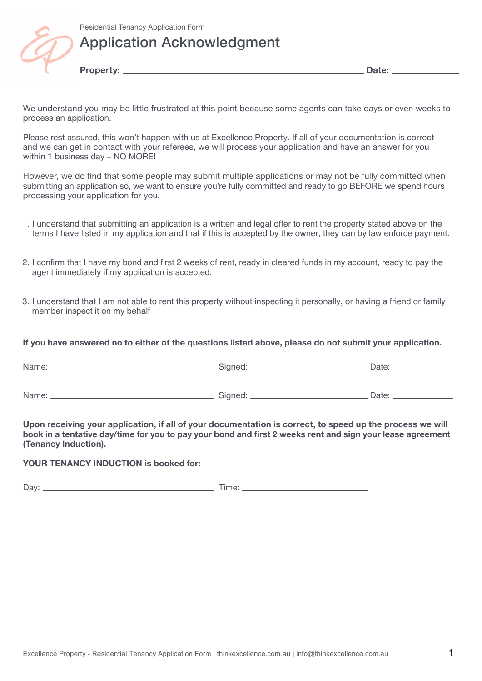

## Application Acknowledgment

**Property: Date:**

We understand you may be little frustrated at this point because some agents can take days or even weeks to process an application.

Please rest assured, this won't happen with us at Excellence Property. If all of your documentation is correct and we can get in contact with your referees, we will process your application and have an answer for you within 1 business day – NO MORE!

However, we do find that some people may submit multiple applications or may not be fully committed when submitting an application so, we want to ensure you're fully committed and ready to go BEFORE we spend hours processing your application for you.

- 1. I understand that submitting an application is a written and legal offer to rent the property stated above on the terms I have listed in my application and that if this is accepted by the owner, they can by law enforce payment.
- 2. I confirm that I have my bond and first 2 weeks of rent, ready in cleared funds in my account, ready to pay the agent immediately if my application is accepted.
- 3. I understand that I am not able to rent this property without inspecting it personally, or having a friend or family member inspect it on my behalf

### **If you have answered no to either of the questions listed above, please do not submit your application.**

| Name: | Signed: | Date: |
|-------|---------|-------|
| Name: | Signed: | Date: |

**Upon receiving your application, if all of your documentation is correct, to speed up the process we will book in a tentative day/time for you to pay your bond and first 2 weeks rent and sign your lease agreement (Tenancy Induction).** 

#### **YOUR TENANCY INDUCTION is booked for:**

Day: Time: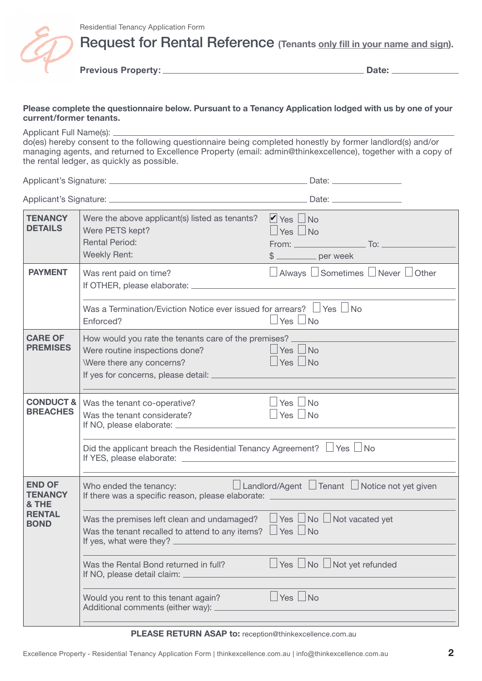

Request for Rental Reference **(Tenants only fill in your name and sign).**

**Previous Property: Date:**

### **Please complete the questionnaire below. Pursuant to a Tenancy Application lodged with us by one of your current/former tenants.**

Applicant Full Name(s):

do(es) hereby consent to the following questionnaire being completed honestly by former landlord(s) and/or managing agents, and returned to Excellence Property (email: admin@thinkexcellence), together with a copy of the rental ledger, as quickly as possible.

Applicant's Signature: Date:

Applicant's Signature: <u>Date:</u> Date: Date: Date: Date: Date: Date: Date: Date: Date: Date: Date: Date: Date: Date: Date: Date: Date: Date: Date: Date: Date: Date: Date: Date: Date: Date: Date: Date: Date: Date: Date: Date:

| <b>TENANCY</b><br><b>DETAILS</b>         | Were the above applicant(s) listed as tenants?<br>Were PETS kept?<br><b>Rental Period:</b><br><b>Weekly Rent:</b>                                                                         | $\blacksquare$ Yes $\blacksquare$ No<br>$\Box$ Yes $\Box$ No<br>From: $\sqrt{2}$ To: $\sqrt{2}$<br>$$$ per week |
|------------------------------------------|-------------------------------------------------------------------------------------------------------------------------------------------------------------------------------------------|-----------------------------------------------------------------------------------------------------------------|
| <b>PAYMENT</b>                           | Was rent paid on time?<br>If OTHER, please elaborate: _____<br>Was a Termination/Eviction Notice ever issued for arrears? $\Box$ Yes $\Box$ No                                            | $\Box$ Always $\Box$ Sometimes $\Box$ Never $\Box$ Other                                                        |
|                                          | Enforced?                                                                                                                                                                                 | $\Box$ Yes $\Box$ No                                                                                            |
| <b>CARE OF</b><br><b>PREMISES</b>        | How would you rate the tenants care of the premises? _<br>Were routine inspections done?<br>Were there any concerns?<br>If yes for concerns, please detail: _                             | $\Box$ Yes $\Box$ No<br>$\Box$ Yes $\Box$ No                                                                    |
| <b>CONDUCT &amp;</b><br><b>BREACHES</b>  | Was the tenant co-operative?<br>Was the tenant considerate?<br>If NO, please elaborate: ______                                                                                            | $Yes \Box No$<br>Yes $\Box$<br><b>No</b>                                                                        |
|                                          | Did the applicant breach the Residential Tenancy Agreement? $\Box$ Yes $\Box$ No                                                                                                          |                                                                                                                 |
| <b>END OF</b><br><b>TENANCY</b><br>& THE | Who ended the tenancy:<br>If there was a specific reason, please elaborate:                                                                                                               | $\Box$ Landlord/Agent $\Box$ Tenant $\Box$ Notice not yet given                                                 |
| <b>RENTAL</b><br><b>BOND</b>             | Was the premises left clean and undamaged? $\Box$ Yes $\Box$ No $\Box$ Not vacated yet<br>Was the tenant recalled to attend to any items? $\Box$ Yes $\Box$ No<br>If yes, what were they? |                                                                                                                 |
|                                          | Was the Rental Bond returned in full?<br>If NO, please detail claim:                                                                                                                      | $\Box$ Yes $\Box$ No $\Box$ Not yet refunded                                                                    |
|                                          | Would you rent to this tenant again?<br>Additional comments (either way): _                                                                                                               | $ $ Yes $ $ No                                                                                                  |
|                                          |                                                                                                                                                                                           |                                                                                                                 |

#### **PLEASE RETURN ASAP to:** reception@thinkexcellence.com.au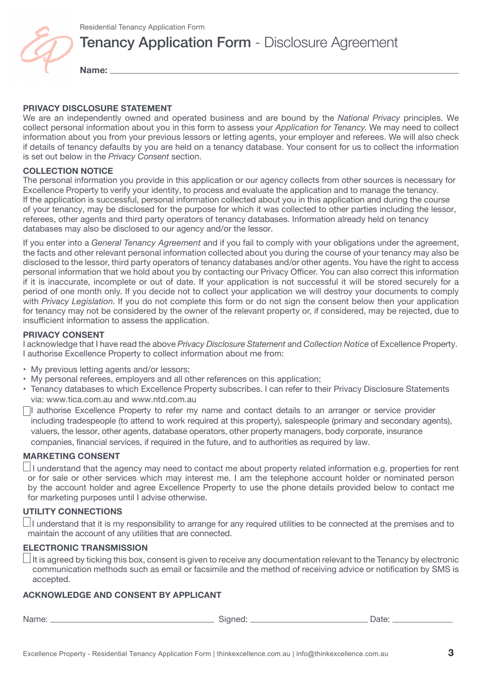

## **Tenancy Application Form - Disclosure Agreement**

**Name:** 

#### **PRIVACY DISCLOSURE STATEMENT**

We are an independently owned and operated business and are bound by the *National Privacy* principles. We collect personal information about you in this form to assess your *Application for Tenancy*. We may need to collect information about you from your previous lessors or letting agents, your employer and referees. We will also check if details of tenancy defaults by you are held on a tenancy database. Your consent for us to collect the information is set out below in the *Privacy Consent* section.

### **COLLECTION NOTICE**

The personal information you provide in this application or our agency collects from other sources is necessary for Excellence Property to verify your identity, to process and evaluate the application and to manage the tenancy. If the application is successful, personal information collected about you in this application and during the course of your tenancy, may be disclosed for the purpose for which it was collected to other parties including the lessor, referees, other agents and third party operators of tenancy databases. Information already held on tenancy databases may also be disclosed to our agency and/or the lessor.

If you enter into a *General Tenancy Agreement* and if you fail to comply with your obligations under the agreement, the facts and other relevant personal information collected about you during the course of your tenancy may also be disclosed to the lessor, third party operators of tenancy databases and/or other agents. You have the right to access personal information that we hold about you by contacting our Privacy Officer. You can also correct this information if it is inaccurate, incomplete or out of date. If your application is not successful it will be stored securely for a period of one month only. If you decide not to collect your application we will destroy your documents to comply with *Privacy Legislation*. If you do not complete this form or do not sign the consent below then your application for tenancy may not be considered by the owner of the relevant property or, if considered, may be rejected, due to insufficient information to assess the application.

#### **PRIVACY CONSENT**

I acknowledge that I have read the above *Privacy Disclosure Statement* and *Collection Notice* of Excellence Property. I authorise Excellence Property to collect information about me from:

- My previous letting agents and/or lessors;
- My personal referees, employers and all other references on this application;
- Tenancy databases to which Excellence Property subscribes. I can refer to their Privacy Disclosure Statements via: www.tica.com.au and www.ntd.com.au

I authorise Excellence Property to refer my name and contact details to an arranger or service provider including tradespeople (to attend to work required at this property), salespeople (primary and secondary agents), valuers, the lessor, other agents, database operators, other property managers, body corporate, insurance companies, financial services, if required in the future, and to authorities as required by law.

## **MARKETING CONSENT**

 $\Box$  I understand that the agency may need to contact me about property related information e.g. properties for rent or for sale or other services which may interest me. I am the telephone account holder or nominated person by the account holder and agree Excellence Property to use the phone details provided below to contact me for marketing purposes until I advise otherwise.

## **UTILITY CONNECTIONS**

 $\Box$ I understand that it is my responsibility to arrange for any required utilities to be connected at the premises and to maintain the account of any utilities that are connected.

#### **ELECTRONIC TRANSMISSION**

 $\Box$  It is agreed by ticking this box, consent is given to receive any documentation relevant to the Tenancy by electronic communication methods such as email or facsimile and the method of receiving advice or notification by SMS is accepted.

#### **ACKNOWLEDGE AND CONSENT BY APPLICANT**

Name: Signed: Date: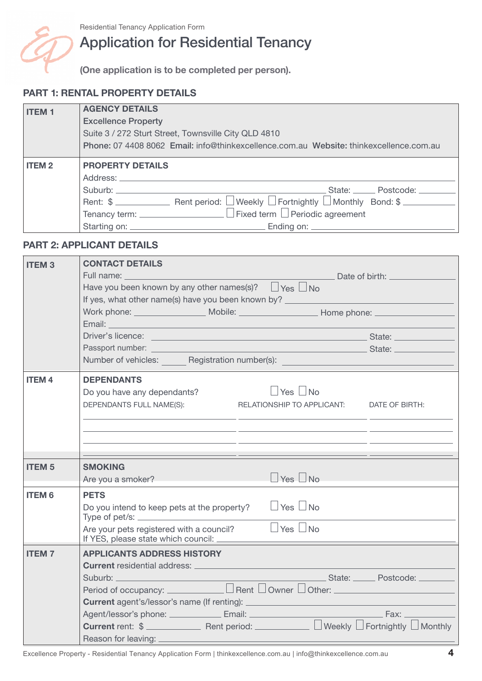

# Application for Residential Tenancy

**(One application is to be completed per person).**

## **PART 1: RENTAL PROPERTY DETAILS**

| <b>ITEM1</b> | <b>AGENCY DETAILS</b>                                                                                                                                                                                                          |
|--------------|--------------------------------------------------------------------------------------------------------------------------------------------------------------------------------------------------------------------------------|
|              | <b>Excellence Property</b>                                                                                                                                                                                                     |
|              | Suite 3 / 272 Sturt Street, Townsville City QLD 4810                                                                                                                                                                           |
|              | Phone: 07 4408 8062 Email: info@thinkexcellence.com.au Website: thinkexcellence.com.au                                                                                                                                         |
| <b>ITEM2</b> | <b>PROPERTY DETAILS</b>                                                                                                                                                                                                        |
|              |                                                                                                                                                                                                                                |
|              | Suburb: Contract of Contract of Contract of Contract of Contract of Contract of Contract of Contract of Contract of Contract of Contract of Contract of Contract of Contract of Contract of Contract of Contract of Contract o |
|              |                                                                                                                                                                                                                                |
|              |                                                                                                                                                                                                                                |
|              |                                                                                                                                                                                                                                |

## **PART 2: APPLICANT DETAILS**

| <b>ITEM3</b>            | <b>CONTACT DETAILS</b>                                                                                                                                                                                                               |                                                                                                                                                                                                                               |                |
|-------------------------|--------------------------------------------------------------------------------------------------------------------------------------------------------------------------------------------------------------------------------------|-------------------------------------------------------------------------------------------------------------------------------------------------------------------------------------------------------------------------------|----------------|
|                         | Full name: The control of the control of the control of the control of the control of the control of the control of the control of the control of the control of the control of the control of the control of the control of t       |                                                                                                                                                                                                                               | Date of birth: |
|                         | Have you been known by any other names(s)? $\Box$ Yes $\Box$ No                                                                                                                                                                      |                                                                                                                                                                                                                               |                |
|                         | If yes, what other name(s) have you been known by?                                                                                                                                                                                   |                                                                                                                                                                                                                               |                |
|                         |                                                                                                                                                                                                                                      |                                                                                                                                                                                                                               |                |
|                         | Email: <b>Email: Email: Email: Email: Email: Email: Email: Email: Email: Email: Email: Email: Email: Email: Email: Email: Email: Email: Email: Email: Email: Email: Email: Email:</b>                                                |                                                                                                                                                                                                                               |                |
|                         | Driver's licence: <u>example and the set of the set of the set of the set of the set of the set of the set of the set of the set of the set of the set of the set of the set of the set of the set of the set of the set of the </u> |                                                                                                                                                                                                                               |                |
|                         | Passport number: State: State: State: State: State: State: State: State: State: State: State: State: State: State: State: State: State: State: State: State: State: State: State: State: State: State: State: State: State: St       |                                                                                                                                                                                                                               |                |
|                         | Number of vehicles: Registration number(s): Number (s) and the control of vehicles and the control of the control of the control of the control of the control of the control of the control of the control of the control of        |                                                                                                                                                                                                                               |                |
| <b>ITEM4</b>            | <b>DEPENDANTS</b>                                                                                                                                                                                                                    |                                                                                                                                                                                                                               |                |
|                         | Do you have any dependants?                                                                                                                                                                                                          | $ $ Yes $ $ No                                                                                                                                                                                                                |                |
|                         | DEPENDANTS FULL NAME(S): RELATIONSHIP TO APPLICANT: DATE OF BIRTH:                                                                                                                                                                   |                                                                                                                                                                                                                               |                |
|                         |                                                                                                                                                                                                                                      |                                                                                                                                                                                                                               |                |
|                         |                                                                                                                                                                                                                                      |                                                                                                                                                                                                                               |                |
|                         |                                                                                                                                                                                                                                      |                                                                                                                                                                                                                               |                |
|                         |                                                                                                                                                                                                                                      | the control of the control of the control of the control of the control of the control of the control of the control of the control of the control of the control of the control of the control of the control of the control |                |
| <b>ITEM<sub>5</sub></b> | <b>SMOKING</b>                                                                                                                                                                                                                       |                                                                                                                                                                                                                               |                |
|                         | Are you a smoker?                                                                                                                                                                                                                    | Yes   No                                                                                                                                                                                                                      |                |
| <b>ITEM6</b>            | <b>PETS</b>                                                                                                                                                                                                                          |                                                                                                                                                                                                                               |                |
|                         | Do you intend to keep pets at the property?                                                                                                                                                                                          | Ves No                                                                                                                                                                                                                        |                |
|                         | Type of pet/s: $\frac{1}{2}$ Type of pet/s: $\frac{1}{2}$ Type of pet/s:                                                                                                                                                             |                                                                                                                                                                                                                               |                |
|                         | Are your pets registered with a council? $\Box$ Yes $\Box$ No                                                                                                                                                                        |                                                                                                                                                                                                                               |                |
|                         |                                                                                                                                                                                                                                      |                                                                                                                                                                                                                               |                |
| <b>ITEM7</b>            | <b>APPLICANTS ADDRESS HISTORY</b>                                                                                                                                                                                                    |                                                                                                                                                                                                                               |                |
|                         |                                                                                                                                                                                                                                      |                                                                                                                                                                                                                               |                |
|                         |                                                                                                                                                                                                                                      | <u> State: Postcode: Charles Burnsdam State: Charles Burnsdam Burnsdam Burnsdam Burnsdam Burnsdam Burnsdam Burnsda</u>                                                                                                        |                |
|                         |                                                                                                                                                                                                                                      |                                                                                                                                                                                                                               |                |
|                         |                                                                                                                                                                                                                                      |                                                                                                                                                                                                                               |                |
|                         |                                                                                                                                                                                                                                      |                                                                                                                                                                                                                               |                |
|                         |                                                                                                                                                                                                                                      |                                                                                                                                                                                                                               |                |
|                         |                                                                                                                                                                                                                                      |                                                                                                                                                                                                                               |                |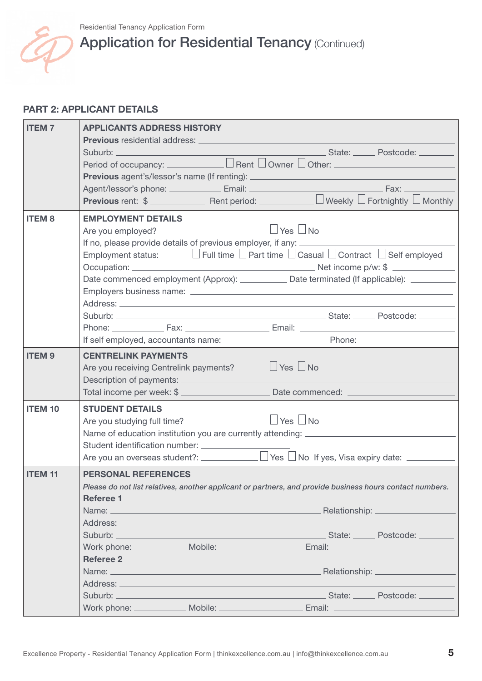

# Application for Residential Tenancy (Continued)

## **PART 2: APPLICANT DETAILS**

| <b>ITEM7</b>   | <b>APPLICANTS ADDRESS HISTORY</b>                                                                                                                                                                                                                                        |
|----------------|--------------------------------------------------------------------------------------------------------------------------------------------------------------------------------------------------------------------------------------------------------------------------|
|                | <b>Previous</b> residential address: _<br>Suburb: Contract of Contract of Contract of Contract of Contract of Contract of Contract of Contract of Contract of Contract of Contract of Contract of Contract of Contract of Contract of Contract of Contract of Contract o |
|                |                                                                                                                                                                                                                                                                          |
|                | <b>Previous</b> agent's/lessor's name (If renting): __________________________________                                                                                                                                                                                   |
|                |                                                                                                                                                                                                                                                                          |
|                | <b>Previous</b> rent: $\$$ Rent period: Neekly $\Box$ Fortnightly $\Box$ Monthly                                                                                                                                                                                         |
| <b>ITEM8</b>   | <b>EMPLOYMENT DETAILS</b>                                                                                                                                                                                                                                                |
|                | $\vert$ Yes $\vert$ No<br>Are you employed?                                                                                                                                                                                                                              |
|                | If no, please provide details of previous employer, if any: __________                                                                                                                                                                                                   |
|                | Employment status: $\Box$ Full time $\Box$ Part time $\Box$ Casual $\Box$ Contract $\Box$ Self employed                                                                                                                                                                  |
|                |                                                                                                                                                                                                                                                                          |
|                | Date commenced employment (Approx): _____________ Date terminated (If applicable): _________                                                                                                                                                                             |
|                |                                                                                                                                                                                                                                                                          |
|                | Suburb: Suburb: Suburb: State: State: State: State: State: State: State: State: State: State: State: State: St                                                                                                                                                           |
|                |                                                                                                                                                                                                                                                                          |
|                |                                                                                                                                                                                                                                                                          |
| <b>ITEM9</b>   | <b>CENTRELINK PAYMENTS</b>                                                                                                                                                                                                                                               |
|                | Are you receiving Centrelink payments?<br><u> </u> Yes No                                                                                                                                                                                                                |
|                |                                                                                                                                                                                                                                                                          |
|                |                                                                                                                                                                                                                                                                          |
| <b>ITEM 10</b> | <b>STUDENT DETAILS</b>                                                                                                                                                                                                                                                   |
|                | $\vert$ Yes $\vert$ No<br>Are you studying full time?                                                                                                                                                                                                                    |
|                | Name of education institution you are currently attending: _____________________                                                                                                                                                                                         |
|                | Student identification number:                                                                                                                                                                                                                                           |
|                | Are you an overseas student?: $\Box$ Yes $\Box$ No If yes, Visa expiry date: $\Box$                                                                                                                                                                                      |
| <b>ITEM 11</b> | <b>PERSONAL REFERENCES</b>                                                                                                                                                                                                                                               |
|                | Please do not list relatives, another applicant or partners, and provide business hours contact numbers.                                                                                                                                                                 |
|                | <b>Referee 1</b>                                                                                                                                                                                                                                                         |
|                |                                                                                                                                                                                                                                                                          |
|                |                                                                                                                                                                                                                                                                          |
|                | Work phone: ______________ Mobile: __________________________ Email: _______________________________                                                                                                                                                                     |
|                | <b>Referee 2</b>                                                                                                                                                                                                                                                         |
|                | Name: Name: Name Alexander Alexander Alexander Alexander Alexander Alexander Alexander Alexander Alexander Alexander Alexander Alexander Alexander Alexander Alexander Alexander Alexander Alexander Alexander Alexander Alexa                                           |
|                |                                                                                                                                                                                                                                                                          |
|                |                                                                                                                                                                                                                                                                          |
|                | Work phone: ______________ Mobile: ___________________________Email: _______________________________                                                                                                                                                                     |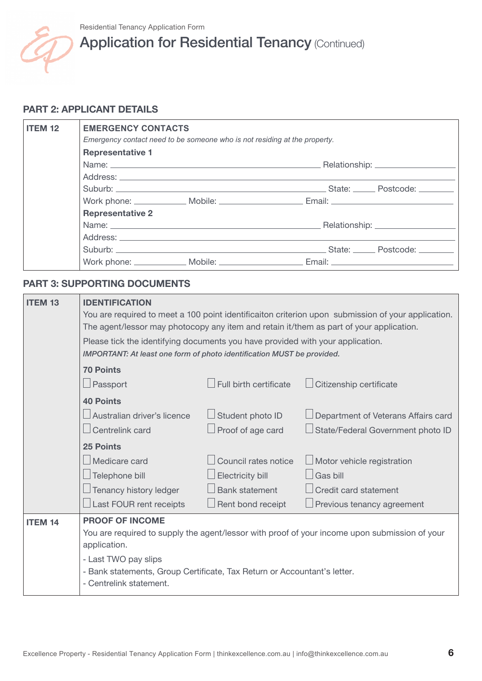

# Application for Residential Tenancy (Continued)

## **PART 2: APPLICANT DETAILS**

| <b>ITEM 12</b> | <b>EMERGENCY CONTACTS</b><br>Emergency contact need to be someone who is not residing at the property.                                                                                                                        |  |                                                                                                                                                                                                                                |  |
|----------------|-------------------------------------------------------------------------------------------------------------------------------------------------------------------------------------------------------------------------------|--|--------------------------------------------------------------------------------------------------------------------------------------------------------------------------------------------------------------------------------|--|
|                | <b>Representative 1</b>                                                                                                                                                                                                       |  |                                                                                                                                                                                                                                |  |
|                | Name: Name: Name: Name: Name: Name: Name: Name: Name: Name: Name: Name: Name: Name: Name: Name: Name: Name: Name: Name: Name: Name: Name: Name: Name: Name: Name: Name: Name: Name: Name: Name: Name: Name: Name: Name: Name: |  |                                                                                                                                                                                                                                |  |
|                |                                                                                                                                                                                                                               |  |                                                                                                                                                                                                                                |  |
|                |                                                                                                                                                                                                                               |  | Suburb: Contract of Contract of Contract of Contract of Contract of Contract of Contract of Contract of Contract of Contract of Contract of Contract of Contract of Contract of Contract of Contract of Contract of Contract o |  |
|                |                                                                                                                                                                                                                               |  |                                                                                                                                                                                                                                |  |
|                | <b>Representative 2</b>                                                                                                                                                                                                       |  |                                                                                                                                                                                                                                |  |
|                |                                                                                                                                                                                                                               |  |                                                                                                                                                                                                                                |  |
|                |                                                                                                                                                                                                                               |  |                                                                                                                                                                                                                                |  |
|                |                                                                                                                                                                                                                               |  | Suburb: Contract of Contract of Contract of Contract of Contract of Contract of Contract of Contract of Contract of Contract of Contract of Contract of Contract of Contract of Contract of Contract of Contract of Contract o |  |
|                |                                                                                                                                                                                                                               |  | Work phone: ______________ Mobile: __________________________ Email: _______________________________                                                                                                                           |  |

## **PART 3: SUPPORTING DOCUMENTS**

| <b>ITEM 13</b> | <b>IDENTIFICATION</b><br>You are required to meet a 100 point identificaiton criterion upon submission of your application.<br>The agent/lessor may photocopy any item and retain it/them as part of your application.<br>Please tick the identifying documents you have provided with your application. |                          |                                                                                               |  |
|----------------|----------------------------------------------------------------------------------------------------------------------------------------------------------------------------------------------------------------------------------------------------------------------------------------------------------|--------------------------|-----------------------------------------------------------------------------------------------|--|
|                | <b>IMPORTANT: At least one form of photo identification MUST be provided.</b><br><b>70 Points</b>                                                                                                                                                                                                        |                          |                                                                                               |  |
|                | Passport                                                                                                                                                                                                                                                                                                 | Full birth certificate   | Citizenship certificate                                                                       |  |
|                | <b>40 Points</b>                                                                                                                                                                                                                                                                                         |                          |                                                                                               |  |
|                | Australian driver's licence                                                                                                                                                                                                                                                                              | Student photo ID         | Department of Veterans Affairs card                                                           |  |
|                | Centrelink card                                                                                                                                                                                                                                                                                          | $\Box$ Proof of age card | State/Federal Government photo ID                                                             |  |
|                | <b>25 Points</b>                                                                                                                                                                                                                                                                                         |                          |                                                                                               |  |
|                | Medicare card                                                                                                                                                                                                                                                                                            | Council rates notice     | Motor vehicle registration                                                                    |  |
|                | Telephone bill                                                                                                                                                                                                                                                                                           | Electricity bill         | Gas bill                                                                                      |  |
|                | Tenancy history ledger                                                                                                                                                                                                                                                                                   | <b>Bank statement</b>    | Credit card statement                                                                         |  |
|                | Last FOUR rent receipts                                                                                                                                                                                                                                                                                  | Rent bond receipt        | Previous tenancy agreement                                                                    |  |
| <b>ITEM 14</b> | <b>PROOF OF INCOME</b><br>application.<br>- Last TWO pay slips<br>- Bank statements, Group Certificate, Tax Return or Accountant's letter.<br>- Centrelink statement.                                                                                                                                    |                          | You are required to supply the agent/lessor with proof of your income upon submission of your |  |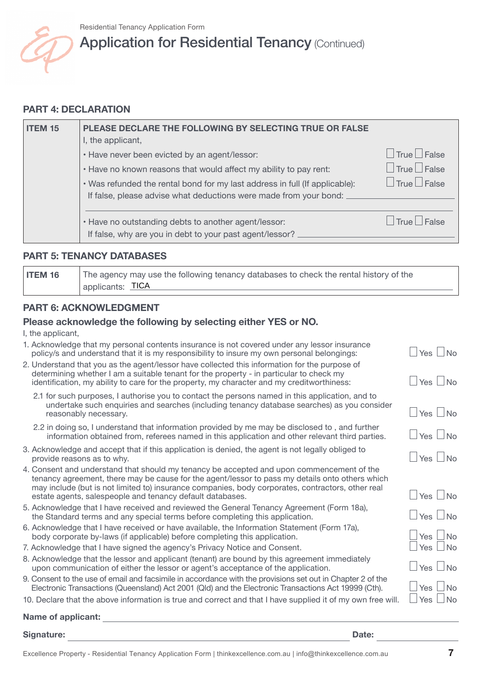

# Application for Residential Tenancy (Continued)

## **PART 4: DECLARATION**

| <b>ITEM 15</b> | PLEASE DECLARE THE FOLLOWING BY SELECTING TRUE OR FALSE                                                                                                                                                                                                                                     |                                                                                  |
|----------------|---------------------------------------------------------------------------------------------------------------------------------------------------------------------------------------------------------------------------------------------------------------------------------------------|----------------------------------------------------------------------------------|
|                | I, the applicant,<br>• Have never been evicted by an agent/lessor:<br>. Have no known reasons that would affect my ability to pay rent:<br>. Was refunded the rental bond for my last address in full (If applicable):<br>If false, please advise what deductions were made from your bond: | $\Box$ True $\Box$ False<br>$\Box$ True $\Box$ False<br>$\Box$ True $\Box$ False |
|                | . Have no outstanding debts to another agent/lessor:<br>If false, why are you in debt to your past agent/lessor?                                                                                                                                                                            | $\Box$ True $\Box$ False                                                         |

## **PART 5: TENANCY DATABASES**

**ITEM 16** The agency may use the following tenancy databases to check the rental history of the applicants: TICA

## **PART 6: ACKNOWLEDGMENT**

## **Please acknowledge the following by selecting either YES or NO.**

I, the applicant,

| 1. Acknowledge that my personal contents insurance is not covered under any lessor insurance |                      |
|----------------------------------------------------------------------------------------------|----------------------|
| policy/s and understand that it is my responsibility to insure my own personal belongings:   | $\Box$ Yes $\Box$ No |

- 2. Understand that you as the agent/lessor have collected this information for the purpose of determining whether I am a suitable tenant for the property - in particular to check my identification, my ability to care for the property, my character and my creditworthiness:  $\Box$  Yes  $\Box$  No
	- 2.1 for such purposes, I authorise you to contact the persons named in this application, and to undertake such enquiries and searches (including tenancy database searches) as you consider reasonably necessary.  $\Box$  Yes  $\Box$  No
	- 2.2 in doing so, I understand that information provided by me may be disclosed to , and further information obtained from, referees named in this application and other relevant third parties.  $\Box$  Yes  $\Box$  No
- 3. Acknowledge and accept that if this application is denied, the agent is not legally obliged to provide reasons as to why.  $\Box$  No  $\Box$  Yes  $\Box$  No  $\Box$  Yes  $\Box$  No  $\Box$  Yes  $\Box$  No  $\Box$  Yes  $\Box$  No  $\Box$
- 4. Consent and understand that should my tenancy be accepted and upon commencement of the tenancy agreement, there may be cause for the agent/lessor to pass my details onto others which may include (but is not limited to) insurance companies, body corporates, contractors, other real estate agents, salespeople and tenancy default databases. Yes No
- 5. Acknowledge that I have received and reviewed the General Tenancy Agreement (Form 18a), the Standard terms and any special terms before completing this application.  $\Box$  Yes  $\Box$  No
- 6. Acknowledge that I have received or have available, the Information Statement (Form 17a), body corporate by-laws (if applicable) before completing this application.  $\Box$  Yes  $\Box$  No<br>Acknowledge that I have signed the agency's Privacy Notice and Consent
- 7. Acknowledge that I have signed the agency's Privacy Notice and Consent.
- 8. Acknowledge that the lessor and applicant (tenant) are bound by this agreement immediately upon communication of either the lessor or agent's acceptance of the application.  $\Box$  Yes  $\Box$  No

9. Consent to the use of email and facsimile in accordance with the provisions set out in Chapter 2 of the Electronic Transactions (Queensland) Act 2001 (Qld) and the Electronic Transactions Act 19999 (Cth).<br>Declare that the above information is true and correct and that I have supplied it of my own free will  $\Box$  Yes  $\Box$  No

10. Declare that the above information is true and correct and that I have supplied it of my own free will.

## **Name**

Signature:

Date: